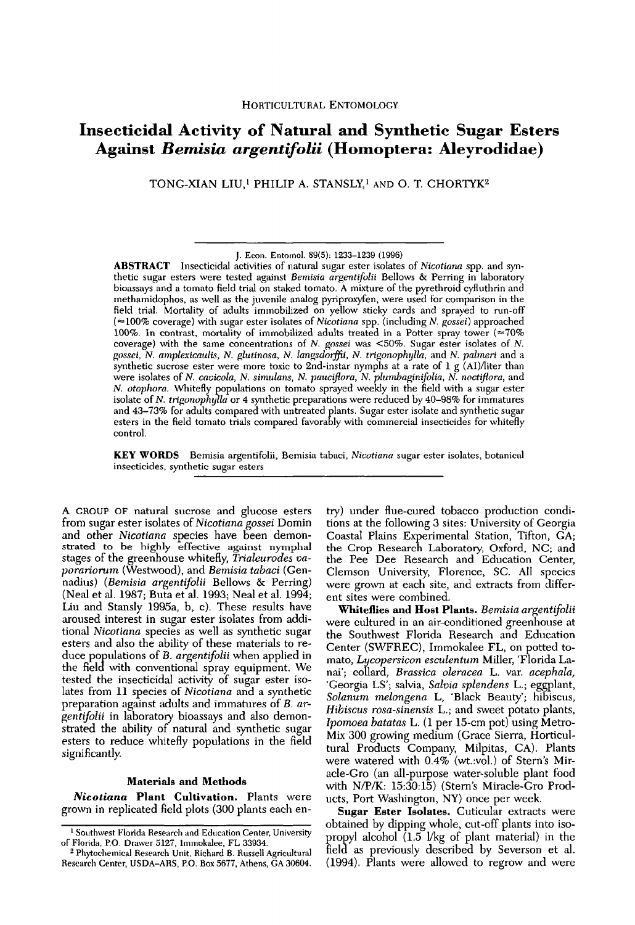# **Insecticidal Activity of Natural and Synthetic Sugar Esters** Against *Bemisia argentifolii* (Homoptera: Aleyrodidae)

TONG-XIAN LIU,<sup>1</sup> PHILIP A. STANSLY,<sup>1</sup> AND O. T. CHORTYK<sup>2</sup>

**ABSTRACT** Insecticidal activities of natural sugar ester isolates of Nicotiana spp. and synthetic sugar esters were tested against Bemisia argentifolii Bellows & Perring in laboratory bioassays and a tomato field trial on staked tomato. A mixture of the pyrethroid cyfluthrin and methamidophos, as well as the juvenile analog pyriproxyfen, were used for comparison in the field trial. Mortality of adults immobilized on yellow sticky cards and sprayed to run-off (≈100% coverage) with sugar ester isolates of Nicotiana spp. (including N. gossei) approached 100%. In contrast, mortality of immobilized adults treated in a Potter spray tower (≈70% coverage) with the same concentrations of  $N$ . gossei was <50%. Sugar ester isolates of  $N$ . gossei, N. amplexicaulis, N. glutinosa, N. langsdorffii, N. trigonophylla, and N. palmeri and a synthetic sucrose ester were more toxic to 2nd-instar nymphs at a rate of 1 g (AI)/liter than<br>were isolates of N. cavicola, N. simulans, N. pauciflora, N. plumbaginifolia, N. noctiflora, and<br>N. otophora. Whitefly populatio isolate of N. trigonophylla or 4 synthetic preparations were reduced by 40-98% for immatures and 43–73% for adults compared with untreated plants. Sugar ester isolate and synthetic sugar esters in the field tomato trials compared favorably with commercial insecticides for whitefly control.

KEY WORDS Bemisia argentifolii, Bemisia tabaci, Nicotiana sugar ester isolates, botanical insecticides, synthetic sugar esters

A GROUP OF natural sucrose and glucose esters from sugar ester isolates of Nicotiana gossei Domin and other Nicotiana species have been demonstrated to be highly effective against nymphal stages of the greenhouse whitefly, Trialeurodes va*porariorum* (Westwood), and Bemisia tabaci (Gennadius) (Bemisia argentifolii Bellows & Perring) (Neal et al. 1987; Buta et al. 1993; Neal et al. 1994; Liu and Stansly 1995a, b, c). These results have aroused interest in sugar ester isolates from additional Nicotiana species as well as synthetic sugar esters and also the ability of these materials to reduce populations of B. argentifolii when applied in the field with conventional spray equipment. We tested the insecticidal activity of sugar ester isolates from 11 species of Nicotiana and a synthetic preparation against adults and immatures of B. argentifolii in laboratory bioassays and also demonstrated the ability of natural and synthetic sugar esters to reduce whitefly populations in the field significantly.

## **Materials and Methods**

Nicotiana Plant Cultivation. Plants were grown in replicated field plots (300 plants each entry) under flue-cured tobacco production conditions at the following 3 sites: University of Georgia Coastal Plains Experimental Station, Tifton, GA; the Crop Research Laboratory, Oxford, NC; and the Pee Dee Research and Education Center, Clemson University, Florence, SC. All species were grown at each site, and extracts from different sites were combined.

Whiteflies and Host Plants. Bemisia argentifolii were cultured in an air-conditioned greenhouse at the Southwest Florida Research and Education Center (SWFREC), Immokalee FL, on potted tomato, Lycopersicon esculentum Miller, 'Florida Lanai'; collard, Brassica oleracea L. var. acephala, 'Georgia LS'; salvia, Salvia splendens L.; eggplant, Solanum melongena L, 'Black Beauty'; hibiscus, Hibiscus rosa-sinensis L.; and sweet potato plants, Ipomoea batatas L. (1 per 15-cm pot) using Metro-Mix 300 growing medium (Grace Sierra, Horticultural Products Company, Milpitas, CA). Plants were watered with 0.4% (wt.:vol.) of Stern's Miracle-Gro (an all-purpose water-soluble plant food with N/P/K: 15:30:15) (Stern's Miracle-Gro Products, Port Washington, NY) once per week.

Sugar Ester Isolates. Cuticular extracts were obtained by dipping whole, cut-off plants into isopropyl alcohol (1.5 *Vkg* of plant material) in the field as previously described by Severson et al. (1994). Plants were allowed to regrow and were

J. Econ. Entomol. 89(5): 1233-1239 (1996)

<sup>&</sup>lt;sup>1</sup> Southwest Florida Research and Education Center, University of Florida, P.O. Drawer 5127, Immokalee, FL 33934.

<sup>&</sup>lt;sup>2</sup> Phytochemical Research Unit, Richard B. Russell Agricultural Research Center, USDA-ARS, P.O. Box 5677, Athens, GA 30604.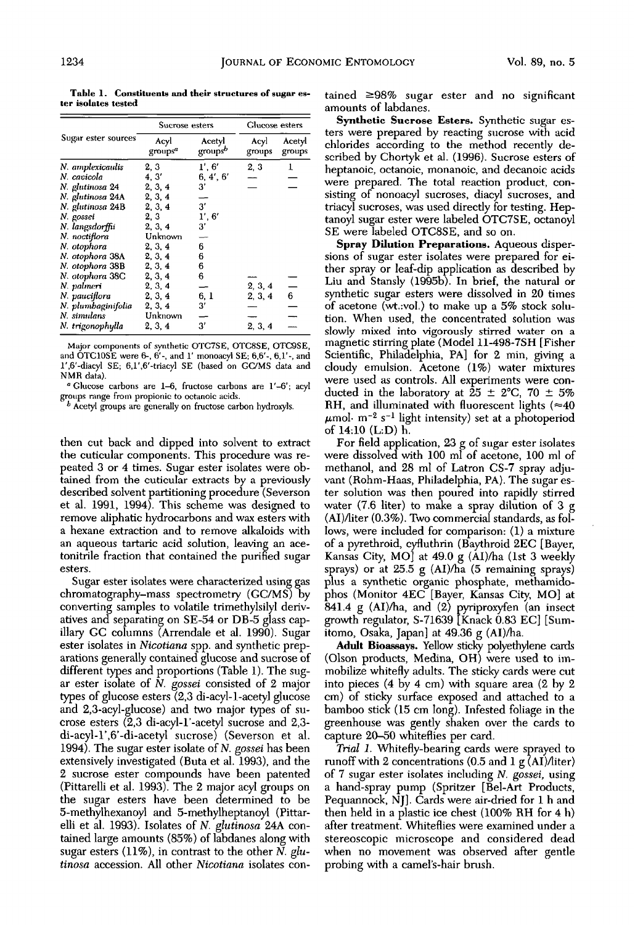Table 1. Constituents and their structures of sugar ester isolates tested

|                     | Sucrose esters              |                               | Glucose esters |                  |
|---------------------|-----------------------------|-------------------------------|----------------|------------------|
| Sugar ester sources | Acyl<br>groups <sup>a</sup> | Acetyl<br>groups <sup>b</sup> | Acyl<br>groups | Acetyl<br>groups |
| N. amplexicaulis    | 2, 3                        | 1', 6'                        | 2, 3           | T                |
| N. cavicola         | 4.3'                        | 6, 4', 6'                     |                |                  |
| N. glutinosa 24     | 2, 3, 4                     | 3'                            |                |                  |
| N. glutinosa 24A    | 2, 3, 4                     |                               |                |                  |
| N. glutinosa 24B    | 2, 3, 4                     | 3'                            |                |                  |
| N. gossei           | 2, 3                        | 1', 6'                        |                |                  |
| N. langsdorffii     | 2, 3, 4                     | 3'                            |                |                  |
| N. noctiflora       | Unknown                     |                               |                |                  |
| N. otophora         | 2, 3, 4                     | 6                             |                |                  |
| N. otophora 38A     | 2, 3, 4                     | 6                             |                |                  |
| N. otophora 38B     | 2, 3, 4                     | 6                             |                |                  |
| N. otophora 38C     | 2, 3, 4                     | 6                             |                |                  |
| N. palmeri          | 2, 3, 4                     |                               | 2, 3, 4        |                  |
| N pauciflora        | 2, 3, 4                     | 6, 1                          | 2, 3, 4        | 6                |
| N. plumbaginifolia  | 2, 3, 4                     | 3′                            |                |                  |
| N. simulans         | Unknown                     |                               |                |                  |
| N. trigonophylla    | 2, 3, 4                     | 3'                            | 2, 3, 4        |                  |

Major components of synthetic OTC7SE, OTC8SE, OTC9SE, and OTC10SE were 6-, 6'-, and 1' monoacyl SE; 6,6'-, 6,1'-, and 1',6'-diacyl SE; 6,1',6'-triacyl SE (based on GC/MS data and NMR data).

<sup>a</sup> Glucose carbons are 1-6, fructose carbons are 1'-6'; acyl groups range from propionic to octanoic acids.<br> $b$  Acetyl groups are generally on fructose carbon hydroxyls.

then cut back and dipped into solvent to extract the cuticular components. This procedure was repeated 3 or 4 times. Sugar ester isolates were obtained from the cuticular extracts by a previously described solvent partitioning procedure (Severson et al. 1991, 1994). This scheme was designed to remove aliphatic hydrocarbons and wax esters with a hexane extraction and to remove alkaloids with an aqueous tartaric acid solution, leaving an acetonitrile fraction that contained the purified sugar esters.

Sugar ester isolates were characterized using gas chromatography-mass spectrometry (GC/MS) by converting samples to volatile trimethylsilyl derivatives and separating on SE-54 or DB-5 glass capillary GC columns (Arrendale et al. 1990). Sugar ester isolates in *Nicotiana* spp. and synthetic preparations generally contained glucose and sucrose of different types and proportions (Table 1). The sugar ester isolate of  $N$ . gossei consisted of 2 major types of glucose esters  $(2,3$  di-acyl-1-acetyl glucose and 2,3-acyl-glucose) and two major types of sucrose esters (2,3 di-acyl-1'-acetyl sucrose and 2,3di-acyl-1',6'-di-acetyl sucrose) (Severson et al. 1994). The sugar ester isolate of N. gossei has been extensively investigated (Buta et al. 1993), and the 2 sucrose ester compounds have been patented (Pittarelli et al. 1993). The 2 major acyl groups on the sugar esters have been determined to be 5-methylhexanoyl and 5-methylheptanoyl (Pittarelli et al. 1993). Isolates of N. glutinosa 24A contained large amounts (85%) of labdanes along with sugar esters  $(11\%)$ , in contrast to the other N. glutinosa accession. All other Nicotiana isolates contained  $\geq 98\%$  sugar ester and no significant amounts of labdanes.

Synthetic Sucrose Esters. Synthetic sugar esters were prepared by reacting sucrose with acid chlorides according to the method recently described by Chortyk et al. (1996). Sucrose esters of heptanoic, octanoic, monanoic, and decanoic acids were prepared. The total reaction product, consisting of nonoacyl sucroses, diacyl sucroses, and triacyl sucroses, was used directly for testing. Heptanoyl sugar ester were labeled OTC7SE, octanoyl SE were labeled OTC8SE, and so on.

Spray Dilution Preparations. Aqueous dispersions of sugar ester isolates were prepared for either spray or leaf-dip application as described by Liu and Stansly (1995b). In brief, the natural or synthetic sugar esters were dissolved in 20 times of acetone (wt.:vol.) to make up a 5% stock solution. When used, the concentrated solution was slowly mixed into vigorously stirred water on a magnetic stirring plate (Model 11-498-7SH [Fisher Scientific, Philadelphia, PA] for 2 min, giving a cloudy emulsion. Acetone (1%) water mixtures were used as controls. All experiments were conducted in the laboratory at  $25 \pm 2^{\circ}\text{C}$ , 70  $\pm 5\%$ RH, and illuminated with fluorescent lights ( $\approx$ 40  $\mu$ mol· m<sup>-2</sup> s<sup>-1</sup> light intensity) set at a photoperiod of 14:10 (L:D) h.

For field application, 23 g of sugar ester isolates were dissolved with 100 ml of acetone, 100 ml of methanol, and 28 ml of Latron CS-7 spray adjuvant (Rohm-Haas, Philadelphia, PA). The sugar ester solution was then poured into rapidly stirred water (7.6 liter) to make a spray dilution of 3 g (AI)/liter (0.3%). Two commercial standards, as follows, were included for comparison: (1) a mixture of a pyrethroid, cyfluthrin (Baythroid 2EC [Bayer, Kansas City, MO] at 49.0 g (AI)/ha (1st 3 weekly sprays) or at 25.5 g (AI)/ha (5 remaining sprays) plus a synthetic organic phosphate, methamidophos (Monitor 4EC [Bayer, Kansas City, MO] at 841.4 g (AI)/ha, and (2) pyriproxyfen (an insect growth regulator, S-71639 [Knack 0.83 EC] [Sumitomo, Osaka, Japan] at 49.36 g (AI)/ha.

Adult Bioassays. Yellow sticky polyethylene cards (Olson products, Medina, OH) were used to immobilize whitefly adults. The sticky cards were cut into pieces  $(4 \text{ by } 4 \text{ cm})$  with square area  $(2 \text{ by } 2)$ cm) of sticky surface exposed and attached to a bamboo stick (15 cm long). Infested foliage in the greenhouse was gently shaken over the cards to capture 20-50 whiteflies per card.

Trial 1. Whitefly-bearing cards were sprayed to runoff with 2 concentrations  $(0.5 \text{ and } 1 \text{ g } (AI)/\text{liter})$ of 7 sugar ester isolates including N. gossei, using a hand-spray pump (Spritzer [Bel-Art Products, Pequannock, NJ. Cards were air-dried for 1 h and then held in a plastic ice chest (100% RH for 4 h) after treatment. Whiteflies were examined under a stereoscopic microscope and considered dead when no movement was observed after gentle probing with a camel's-hair brush.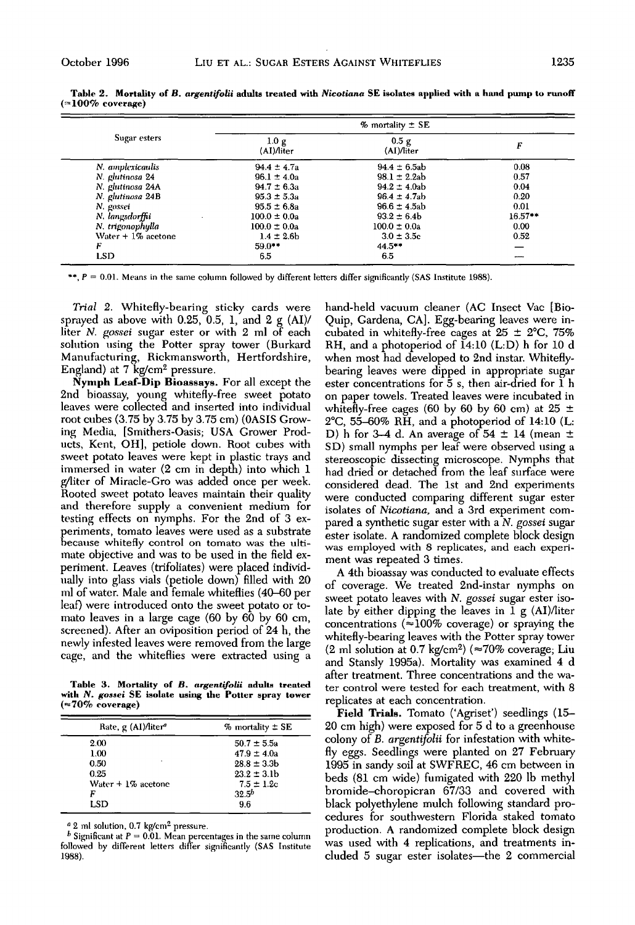|                      | $%$ mortality $\pm$ SE        |                     |           |
|----------------------|-------------------------------|---------------------|-----------|
| Sugar esters         | 1.0 <sub>g</sub><br>(AI)Ліter | 0.5 g<br>(AI)/liter | F         |
| N. amplexicaulis     | $94.4 \pm 4.7a$               | $94.4 \pm 6.5$ ab   | 0.08      |
| N. glutinosa 24      | $96.1 \pm 4.0a$               | $98.1 \pm 2.2ab$    | 0.57      |
| N. glutinosa 24A     | $94.7 \pm 6.3a$               | $94.2 \pm 4.0$ ab   | 0.04      |
| N. glutinosa 24B     | $95.3 \pm 5.3a$               | $96.4 \pm 4.7$ ab   | 0.20      |
| N. gossei            | $95.5 \pm 6.8a$               | $96.6 \pm 4.5$ ah   | 0.01      |
| N. langsdorffu       | $100.0 \pm 0.0a$              | $93.2 \pm 6.4b$     | $16.57**$ |
| N. trigonophylla     | $100.0 \pm 0.0a$              | $100.0 \pm 0.0a$    | 0.00      |
| Water $+1\%$ acetone | $1.4 \pm 2.6$ b               | $3.0 \pm 3.5c$      | 0.52      |
| F                    | $59.0**$                      | $44.5***$           |           |
| <b>LSD</b>           | 6.5                           | 6.5                 |           |

Table 2. Mortality of B, argentifolii adults treated with Nicotiana SE isolates applied with a hand pump to runoff  $(>=100\%$  coverage)

\*\*,  $P = 0.01$ . Means in the same column followed by different letters differ significantly (SAS Institute 1988).

Trial 2. Whitefly-bearing sticky cards were sprayed as above with 0.25, 0.5, 1, and 2  $g \,(AI)$ / liter N. gossei sugar ester or with 2 ml of each solution using the Potter spray tower (Burkard Manufacturing, Rickmansworth, Hertfordshire, England) at 7 kg/cm<sup>2</sup> pressure.

Nymph Leaf-Dip Bioassays. For all except the 2nd bioassay, young whitefly-free sweet potato leaves were collected and inserted into individual root cubes (3.75 by 3.75 by 3.75 cm) (0ASIS Growing Media, [Smithers-Oasis: USA Grower Products, Kent, OH], petiole down. Root cubes with sweet potato leaves were kept in plastic trays and immersed in water (2 cm in depth) into which 1 g/liter of Miracle-Gro was added once per week. Rooted sweet potato leaves maintain their quality and therefore supply a convenient medium for testing effects on nymphs. For the 2nd of 3 experiments, tomato leaves were used as a substrate because whitefly control on tomato was the ultimate objective and was to be used in the field experiment. Leaves (trifoliates) were placed individually into glass vials (petiole down) filled with 20 ml of water. Male and female whiteflies (40–60 per leaf) were introduced onto the sweet potato or tomato leaves in a large cage (60 by 60 by 60 cm, screened). After an oviposition period of 24 h, the newly infested leaves were removed from the large cage, and the whiteflies were extracted using a

Table 3. Mortality of B. argentifolii adults treated with N. gossei SE isolate using the Potter spray tower  $($  ~70% coverage)

| Rate, g (AI)/liter <sup>a</sup> | $%$ mortality $±$ SE |
|---------------------------------|----------------------|
| 2.00                            | $50.7 \pm 5.5a$      |
| 1.00                            | $47.9 \pm 4.0a$      |
| 0.50                            | $28.8 \pm 3.3$ b     |
| 0.25                            | $23.2 \pm 3.1$ b     |
| Water $+1\%$ acetone            | $7.5 \pm 1.2c$       |
| F                               | $32.5^{b}$           |
| LSD                             | 9.6                  |
|                                 |                      |

<sup>a</sup> 2 ml solution, 0.7 kg/cm<sup>2</sup> pressure.

**b** Significant at  $P = 0.01$ . Mean percentages in the same column followed by different letters differ significantly (SAS Institute 1988).

hand-held vacuum cleaner (AC Insect Vac [Bio-Quip, Gardena, CA]. Egg-bearing leaves were incubated in whitefly-free cages at  $25 \pm 2^{\circ}$ C, 75% RH, and a photoperiod of  $14:10$  (L:D) h for 10 d when most had developed to 2nd instar. Whiteflybearing leaves were dipped in appropriate sugar ester concentrations for 5 s, then air-dried for 1 h on paper towels. Treated leaves were incubated in white fly-free cages (60 by 60 by 60 cm) at 25  $\pm$  $2^{\circ}$ C, 55–60% RH, and a photoperiod of 14:10 (L: D) h for 3-4 d. An average of  $54 \pm 14$  (mean  $\pm$ SD) small nymphs per leaf were observed using a stereoscopic dissecting microscope. Nymphs that had dried or detached from the leaf surface were considered dead. The 1st and 2nd experiments were conducted comparing different sugar ester isolates of Nicotiana, and a 3rd experiment compared a synthetic sugar ester with a N. gossei sugar ester isolate. A randomized complete block design was employed with 8 replicates, and each experiment was repeated 3 times.

A 4th bioassay was conducted to evaluate effects of coverage. We treated 2nd-instar nymphs on sweet potato leaves with N. gossei sugar ester isolate by either dipping the leaves in  $1 g (AI)/$ liter concentrations ( $\approx 100\%$  coverage) or spraying the whitefly-bearing leaves with the Potter spray tower (2 ml solution at 0.7 kg/cm<sup>2</sup>) ( $\approx$ 70% coverage; Liu and Stansly 1995a). Mortality was examined 4 d after treatment. Three concentrations and the water control were tested for each treatment, with 8 replicates at each concentration.

Field Trials. Tomato ('Agriset') seedlings (15– 20 cm high) were exposed for 5 d to a greenhouse colony of B. argentifolii for infestation with whitefly eggs. Seedlings were planted on 27 February 1995 in sandy soil at SWFREC, 46 cm between in beds (81 cm wide) fumigated with 220 lb methyl bromide–choropicran 67/33 and covered with black polyethylene mulch following standard procedures for southwestern Florida staked tomato production. A randomized complete block design was used with 4 replications, and treatments included 5 sugar ester isolates—the 2 commercial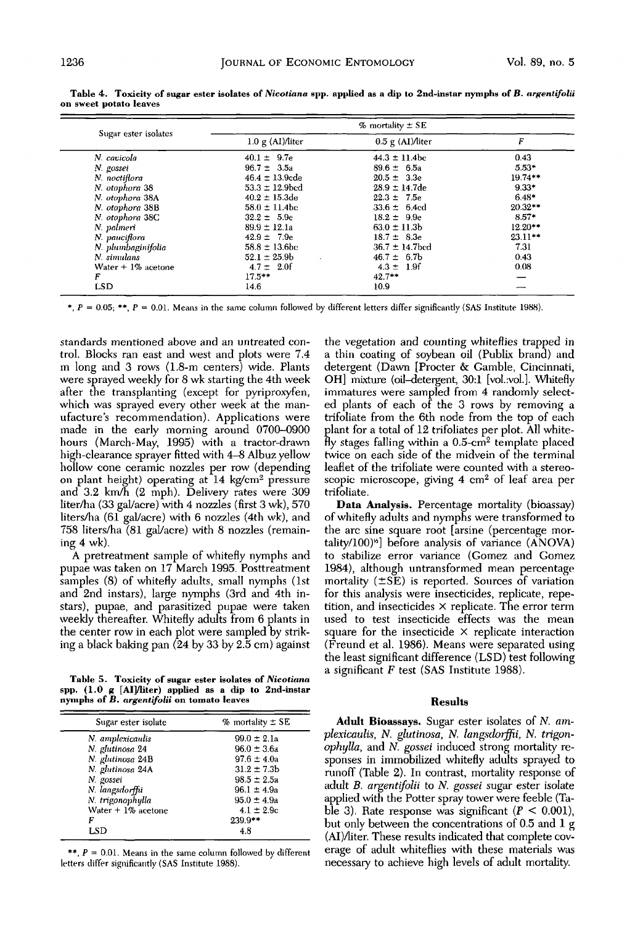| Sugar ester isolates | $%$ mortality $\pm$ SE     |                            |           |
|----------------------|----------------------------|----------------------------|-----------|
|                      | $1.0 \text{ g}$ (AI)/liter | $0.5 \text{ g}$ (AI)/liter | F         |
| N. cavicola          | $40.1 \pm 9.7e$            | $44.3 \pm 11.4$ bc         | 0.43      |
| N. gossei            | $96.7 \pm 3.5a$            | $89.6 \pm 6.5a$            | $5.53*$   |
| N. noctiflora        | $46.4 \pm 13.9$ cde        | $20.5 \pm 3.3$ e           | $19.74**$ |
| N. otophora 38       | $53.3 \pm 12.9$ bed        | $28.9 \pm 14.7$ de         | $9.33*$   |
| N. otophora 38A      | $40.2 \pm 15.3$ de         | $22.3 \pm 7.5e$            | 648*      |
| N. otophora 38B      | $58.0 \pm 11.4$ bc         | $33.6 \pm 6.4$ cd          | $20.32**$ |
| N. otophora 38C      | $32.2 \pm 5.9e$            | $18.2 \pm 9.9e$            | $8.57*$   |
| N. palmeri           | $89.9 \pm 12.1a$           | $63.0 \pm 11.3$            | $12.20**$ |
| N. pauciflora        | $42.9 \pm 7.9e$            | $18.7 \pm 8.3e$            | $23.11**$ |
| N. plumbaginifolia   | $58.8 \pm 13.6$ bc         | $36.7 \pm 14.7$ bed        | 7.31      |
| N. simulans          | $52.1 \pm 25.9$ b          | $46.7 \pm 6.7$ b           | 0.43      |
| Water $+1\%$ acetone | $4.7 \pm 2.0$              | $4.3 \pm 1.9$ f            | 0.08      |
| F                    | $17.5***$                  | $42.7**$                   |           |
| <b>LSD</b>           | 14.6                       | 10.9                       |           |

Table 4. Toxicity of sugar ester isolates of Nicotiana spp. applied as a dip to 2nd-instar nymphs of B. argentifolii on sweet potato leaves

\*,  $P = 0.05$ ; \*\*,  $P = 0.01$ . Means in the same column followed by different letters differ significantly (SAS Institute 1988).

standards mentioned above and an untreated control. Blocks ran east and west and plots were 7.4 m long and 3 rows (1.8-m centers) wide. Plants were sprayed weekly for 8 wk starting the 4th week after the transplanting (except for pyriproxyfen, which was sprayed every other week at the manufacture's recommendation). Applications were made in the early morning around 0700-0900 hours (March-May, 1995) with a tractor-drawn high-clearance sprayer fitted with 4–8 Albuz yellow hollow cone ceramic nozzles per row (depending on plant height) operating at 14 kg/cm<sup>2</sup> pressure and 3.2 km/h (2 mph). Delivery rates were 309 liter/ha (33 gal/acre) with 4 nozzles (first 3 wk), 570 liters/ha (61 gal/acre) with 6 nozzles (4th wk), and 758 liters/ha (81 gal/acre) with 8 nozzles (remaining  $4$  wk).

A pretreatment sample of whitefly nymphs and pupae was taken on 17 March 1995. Posttreatment samples (8) of whitefly adults, small nymphs (1st and 2nd instars), large nymphs (3rd and 4th instars), pupae, and parasitized pupae were taken weekly thereafter. Whitefly adults from 6 plants in the center row in each plot were sampled by striking a black baking pan (24 by 33 by 2.5 cm) against

Table 5. Toxicity of sugar ester isolates of Nicotiana spp.  $(1.0 g [AI]/$ liter) applied as a dip to 2nd-instar nymphs of B. argentifolii on tomato leaves

| Sugar ester isolate  | $%$ mortality $±$ SE |
|----------------------|----------------------|
| N. amplexicaulis     | $99.0 \pm 2.1a$      |
| N. glutinosa 24      | $96.0 \pm 3.6a$      |
| N. glutinosa 24B     | $97.6 \pm 4.0a$      |
| N. glutinosa 24A     | $31.2 \pm 7.3b$      |
| N. gossei            | $98.5 \pm 2.5a$      |
| N. langsdorffu       | $96.1 \pm 4.9a$      |
| N. trigonophylla     | $95.0 \pm 4.9a$      |
| Water $+1\%$ acetone | $4.1 \pm 2.9c$       |
| F                    | 239.9**              |
| LSD                  | 4.8                  |

\*\*,  $P = 0.01$ . Means in the same column followed by different letters differ significantly (SAS Institute 1988).

the vegetation and counting whiteflies trapped in a thin coating of soybean oil (Publix brand) and detergent (Dawn [Procter & Gamble, Cincinnati, OH] mixture (oil-detergent, 30:1 [vol.vol.]. Whitefly immatures were sampled from 4 randomly selected plants of each of the 3 rows by removing a trifoliate from the 6th node from the top of each plant for a total of 12 trifoliates per plot. All white- $\hat{H}$ y stages falling within a 0.5-cm<sup>2</sup> template placed twice on each side of the midvein of the terminal leaflet of the trifoliate were counted with a stereoscopic microscope, giving 4 cm<sup>2</sup> of leaf area per trifoliate.

Data Analysis. Percentage mortality (bioassay) of whitefly adults and nymphs were transformed to the arc sine square root [arsine (percentage mortality/100)<sup>"</sup>] before analysis of variance (ANOVA) to stabilize error variance (Gomez and Gomez 1984), although untransformed mean percentage mortality  $(\pm SE)$  is reported. Sources of variation for this analysis were insecticides, replicate, repetition, and insecticides  $\times$  replicate. The error term used to test insecticide effects was the mean square for the insecticide  $\times$  replicate interaction (Freund et al. 1986). Means were separated using the least significant difference (LSD) test following a significant  $F$  test (SAS Institute 1988).

## **Results**

Adult Bioassays. Sugar ester isolates of N. amplexicaulis, N. glutinosa, N. langsdorffii, N. trigonophylla, and N. gossei induced strong mortality responses in immobilized whitefly adults sprayed to runoff (Table 2). In contrast, mortality response of adult B. argentifolii to N. gossei sugar ester isolate applied with the Potter spray tower were feeble (Table 3). Rate response was significant ( $P < 0.001$ ), but only between the concentrations of 0.5 and 1 g (AI)/liter. These results indicated that complete coverage of adult whiteflies with these materials was necessary to achieve high levels of adult mortality.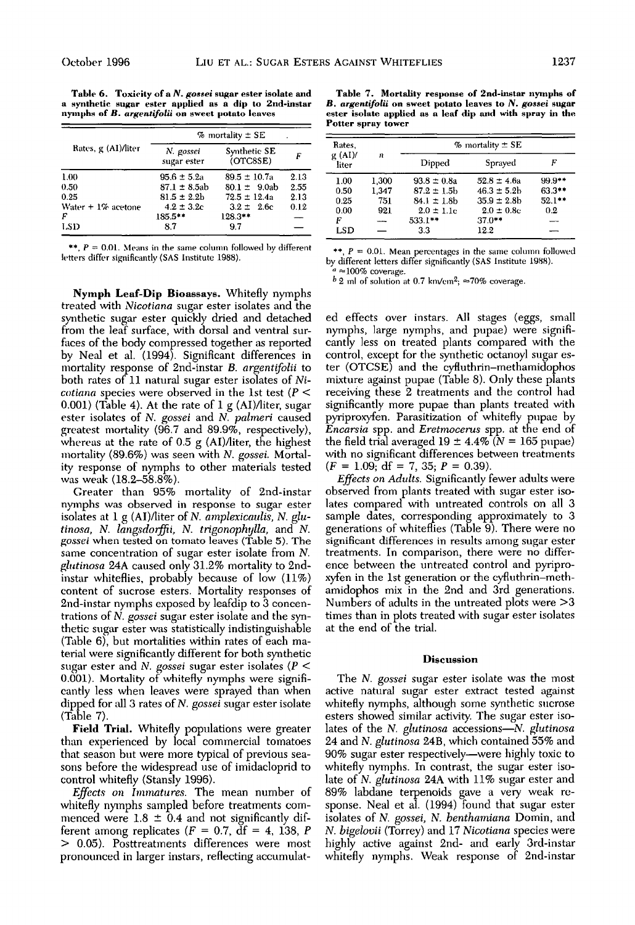Table 6. Toxicity of a N. gossei sugar ester isolate and a synthetic sugar ester applied as a dip to 2nd-instar nymphs of B. argentifolii on sweet potato leaves

|                      | $%$ mortality $±$ SE     |                          |      |  |
|----------------------|--------------------------|--------------------------|------|--|
| Rates, g (AI)/liter  | N. gossei<br>sugar ester | Synthetic SE<br>(OTCSSE) | F    |  |
| 1.00                 | $95.6 \pm 5.2$ a         | $89.5 \pm 10.7a$         | 2.13 |  |
| 0.50                 | $87.1 \pm 8.5$ ab        | $80.1 \pm 9.0$ ab        | 2.55 |  |
| 0.25                 | $81.5 \pm 2.2$ b         | $72.5 \pm 12.4a$         | 2.13 |  |
| Water $+1\%$ acetone | $4.2 \pm 3.2c$           | $3.2 \pm 2.6$ c          | 0.12 |  |
| F                    | $185.5**$                | 128.3**                  |      |  |
| LSD                  | 8.7                      | 97                       |      |  |

\*\*,  $P = 0.01$ . Means in the same column followed by different letters differ significantly (SAS Institute 1988).

Nymph Leaf-Dip Bioassays. Whitefly nymphs treated with Nicotiana sugar ester isolates and the synthetic sugar ester quickly dried and detached from the leaf surface, with dorsal and ventral surfaces of the body compressed together as reported by Neal et al. (1994). Significant differences in mortality response of 2nd-instar B. argentifolii to both rates of 11 natural sugar ester isolates of Ni*cotiana* species were observed in the 1st test ( $P$  <  $(0.001)$  (Table 4). At the rate of 1 g (AI)/liter, sugar ester isolates of N. gossei and N. palmeri caused greatest mortality  $(96.7 \text{ and } 89.9\%, \text{ respectively})$ , whereas at the rate of  $0.5$  g  $(AI)/$ liter, the highest mortality (89.6%) was seen with N. gossei. Mortality response of nymphs to other materials tested was weak (18.2-58.8%).

Greater than 95% mortality of 2nd-instar nymphs was observed in response to sugar ester isolates at 1 g (AI)/liter of N. amplexicaulis, N. glutinosa, N. langsdorffii, N. trigonophylla, and N. gossei when tested on tomato leaves (Table 5). The same concentration of sugar ester isolate from  $N$ . glutinosa 24A caused only 31.2% mortality to 2ndinstar whiteflies, probably because of low (11%) content of sucrose esters. Mortality responses of 2nd-instar nymphs exposed by leafdip to 3 concentrations of N. gossei sugar ester isolate and the synthetic sugar ester was statistically indistinguishable (Table 6), but mortalities within rates of each material were significantly different for both synthetic sugar ester and N. gossei sugar ester isolates ( $P$  < 0.001). Mortality of whitefly nymphs were significantly less when leaves were sprayed than when dipped for all 3 rates of N. gossei sugar ester isolate  $(Table 7)$ .

Field Trial. Whitefly populations were greater than experienced by local commercial tomatoes that season but were more typical of previous seasons before the widespread use of imidacloprid to control whitefly (Stansly 1996).

*Effects on Immatures*. The mean number of white fly nymphs sampled before treatments commenced were  $1.8 \pm 0.4$  and not significantly different among replicates ( $F = 0.7$ ,  $df = 4$ , 138, P > 0.05). Posttreatments differences were most pronounced in larger instars, reflecting accumulat-

Table 7. Mortality response of 2nd-instar nymphs of B. argentifolii on sweet potato leaves to N. gossei sugar ester isolate applied as a leaf dip and with spray in the Potter spray tower

| Rates,         |       | $%$ mortality $±$ SE |                  |           |  |
|----------------|-------|----------------------|------------------|-----------|--|
| g(AI)<br>liter | n     | Dipped               | Sprayed          | F         |  |
| 1.00           | 1,300 | $93.8 \pm 0.8a$      | $52.8 \pm 4.6a$  | $99.9**$  |  |
| 0.50           | 1,347 | $87.2 \pm 1.5$ b     | $46.3 \pm 5.2$ h | 63.3**    |  |
| 0.25           | 751   | $84.1 \pm 1.8$ h     | $35.9 \pm 2.8$ b | $52.1***$ |  |
| 0.00           | 921   | $2.0 \pm 1.1c$       | $2.0 \pm 0.8c$   | 0.2       |  |
| F              | --    | 533.1**              | $37.0**$         |           |  |
| LSD            |       | 3.3                  | 12.2             |           |  |

\*\*,  $P = 0.01$ . Mean percentages in the same column followed by different letters differ significantly (SAS Institute 1988).  $\approx$ 100% coverage.

 $b$  2 ml of solution at 0.7 km/cm<sup>2</sup>;  $\approx 70\%$  coverage.

ed effects over instars. All stages (eggs, small nymphs, large nymphs, and pupae) were significantly less on treated plants compared with the control, except for the synthetic octanoyl sugar ester (OTCSE) and the cyfluthrin-methamidophos mixture against pupae (Table 8). Only these plants receiving these 2 treatments and the control had significantly more pupae than plants treated with pyriproxyfen. Parasitization of whitefly pupae by *Encarsia spp. and Eretmocerus spp. at the end of* the field trial averaged 19  $\pm$  4.4% ( $N = 165$  pupae) with no significant differences between treatments  $(F = 1.09, df = 7, 35, P = 0.39).$ 

Effects on Adults. Significantly fewer adults were observed from plants treated with sugar ester isolates compared with untreated controls on all 3 sample dates, corresponding approximately to 3 generations of whiteffies (Table 9). There were no significant differences in results among sugar ester treatments. In comparison, there were no difference between the untreated control and pyriproxyfen in the 1st generation or the cyfluthrin-methamidophos mix in the 2nd and 3rd generations. Numbers of adults in the untreated plots were  $>3$ times than in plots treated with sugar ester isolates at the end of the trial.

#### **Discussion**

The N. gossei sugar ester isolate was the most active natural sugar ester extract tested against whitefly nymphs, although some synthetic sucrose esters showed similar activity. The sugar ester isolates of the N. glutinosa accessions-N. glutinosa 24 and *N. glutinosa* 24B, which contained 55% and 90% sugar ester respectively—were highly toxic to whitefly nymphs. In contrast, the sugar ester isolate of *N. glutinosa* 24A with 11% sugar ester and 89% labdane terpenoids gave a very weak response. Neal et al. (1994) found that sugar ester isolates of N. gossei, N. benthamiana Domin, and N. bigelovii (Torrey) and 17 Nicotiana species were highly active against 2nd- and early 3rd-instar whitefly nymphs. Weak response of 2nd-instar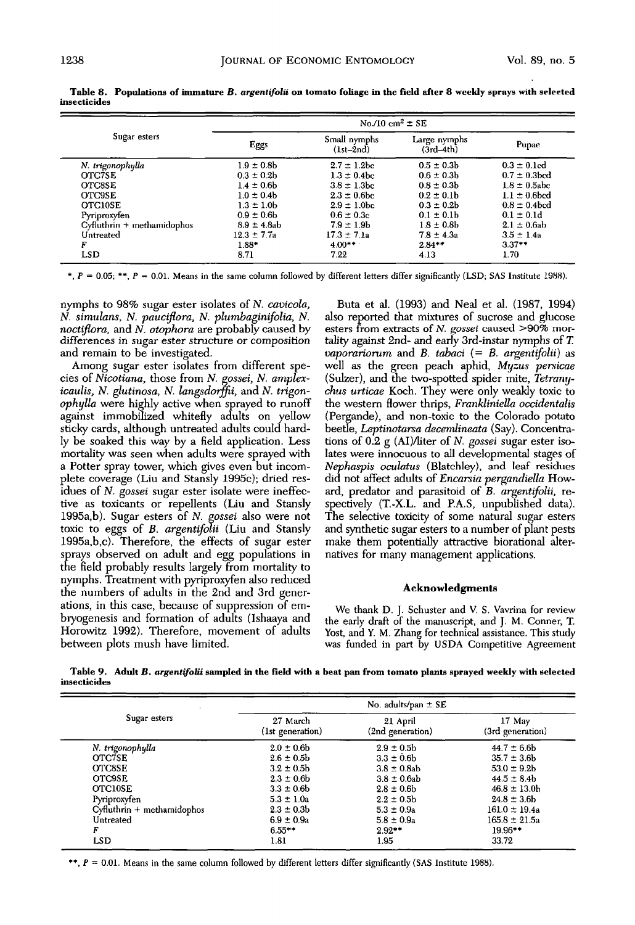|                               | No./10 cm <sup>2</sup> $\pm$ SE |                             |                             |                   |
|-------------------------------|---------------------------------|-----------------------------|-----------------------------|-------------------|
| Sugar esters                  | Eggs                            | Small nymphs<br>$(1st-2nd)$ | Large nymphs<br>$(3rd-4th)$ | Pupae             |
| N. trigonophylla              | $1.9 \pm 0.8$ b                 | $2.7 \pm 1.2$ bc            | $0.5 \pm 0.3$               | $0.3 \pm 0.1$ cd  |
| OTC7SE                        | $0.3 \pm 0.2$                   | $1.3 \pm 0.4$ <sub>bc</sub> | $0.6 \pm 0.3 b$             | $0.7 \pm 0.3$ bed |
| <b>OTC8SE</b>                 | $1.4 \pm 0.6$ h                 | $3.8 \pm 1.3$ bc            | $0.8 \pm 0.3 h$             | $1.8 \pm 0.5$ abc |
| <b>OTC9SE</b>                 | $1.0 \pm 0.4$                   | $2.3 \pm 0.6$ be            | $0.2 \pm 0.1$ h             | $1.1 \pm 0.6$ bed |
| <b>OTC10SE</b>                | $1.3 \pm 1.0$                   | $2.9 \pm 1.0$ bc            | $0.3 \pm 0.2$               | $0.8 \pm 0.4$ bed |
| Pyriproxyfen                  | $0.9 \pm 0.6$                   | $0.6 \pm 0.3c$              | $0.1 \pm 0.1$               | $0.1 \pm 0.1$ d   |
| $Cy$ fluthrin + methamidophos | $8.9 \pm 4.8$ ab                | $7.9 \pm 1.9$ b             | $1.8 \pm 0.8$               | $2.1 \pm 0.6$ ab  |
| Untreated                     | $12.3 \pm 7.7a$                 | $17.3 \pm 7.1a$             | $7.8 \pm 4.3a$              | $3.5 \pm 1.4a$    |
| F                             | $1.88*$                         | $4.00**$                    | $2.84**$                    | $3.37**$          |
| LSD                           | 8.71                            | 7.22                        | 4.13                        | 1.70              |

Table 8. Populations of immature B. argentifolii on tomato foliage in the field after 8 weekly sprays with selected insecticides

\*,  $P = 0.05$ ; \*\*,  $P = 0.01$ . Means in the same column followed by different letters differ significantly (LSD; SAS Institute 1988).

nymphs to 98% sugar ester isolates of N. cavicola, N. simulans, N. pauciflora, N. plumbaginifolia, N. noctiflora, and N. otophora are probably caused by differences in sugar ester structure or composition and remain to be investigated.

Among sugar ester isolates from different species of Nicotiana, those from N. gossei, N. amplexicaulis, N. glutinosa, N. langsdorffii, and N. trigonophylla were highly active when sprayed to runoff against immobilized whitefly adults on yellow sticky cards, although untreated adults could hardly be soaked this way by a field application. Less mortality was seen when adults were sprayed with a Potter spray tower, which gives even but incomplete coverage (Liu and Stansly 1995c); dried residues of N. gossei sugar ester isolate were ineffective as toxicants or repellents (Liu and Stansly 1995a,b). Sugar esters of N. gossei also were not toxic to eggs of B. argentifolii (Liu and Stansly 1995a,b,c). Therefore, the effects of sugar ester sprays observed on adult and egg populations in the field probably results largely from mortality to nymphs. Treatment with pyriproxyfen also reduced the numbers of adults in the 2nd and 3rd generations, in this case, because of suppression of embryogenesis and formation of adults (Ishaaya and Horowitz 1992). Therefore, movement of adults between plots mush have limited.

Buta et al. (1993) and Neal et al. (1987, 1994) also reported that mixtures of sucrose and glucose esters from extracts of N. gossei caused >90% mortality against 2nd- and early 3rd-instar nymphs of T. vaporariorum and B. tabaci  $(= B. \text{~argentifolii})$  as well as the green peach aphid, Myzus persicae (Sulzer), and the two-spotted spider mite, Tetranychus urticae Koch. They were only weakly toxic to the western flower thrips, Frankliniella occidentalis (Pergande), and non-toxic to the Colorado potato beetle, *Leptinotarsa decemlineata* (Say). Concentrations of  $0.2$  g (AI)/liter of N. gossei sugar ester isolates were innocuous to all developmental stages of Nephaspis oculatus (Blatchley), and leaf residues did not affect adults of *Encarsia pergandiella* Howard, predator and parasitoid of B. argentifolii, respectively (T.-X.L. and P.A.S, unpublished data). The selective toxicity of some natural sugar esters and synthetic sugar esters to a number of plant pests make them potentially attractive biorational alternatives for many management applications.

## **Acknowledgments**

We thank D. J. Schuster and V. S. Vavrina for review the early draft of the manuscript, and J. M. Conner, T. Yost, and Y. M. Zhang for technical assistance. This study was funded in part by USDA Competitive Agreement

Table 9. Adult B. argentifolii sampled in the field with a beat pan from tomato plants sprayed weekly with selected insecticides

|                              |                              | No. adults/pan $\pm$ SE      |                            |
|------------------------------|------------------------------|------------------------------|----------------------------|
| Sugar esters                 | 27 March<br>(1st generation) | 21 April<br>(2nd generation) | 17 May<br>(3rd generation) |
| N. trigonophylla             | $2.0 \pm 0.6$ b              | $2.9 \pm 0.5$                | $44.7 \pm 6.6$ b           |
| <b>OTC7SE</b>                | $2.6 \pm 0.5$ b              | $3.3 \pm 0.6$ b              | $35.7 \pm 3.6$ b           |
| OTC8SE                       | $3.2 \pm 0.5$                | $3.8 \pm 0.8$ ab             | $53.0 \pm 9.2$             |
| <b>OTC9SE</b>                | $2.3 \pm 0.6$ b              | $3.8 \pm 0.6$ ab             | $44.5 \pm 8.4$             |
| <b>OTCIOSE</b>               | $3.3 \pm 0.6$                | $2.8 \pm 0.6$ h              | $46.8 \pm 13.0$ h          |
| Pyriproxyfen                 | $5.3 \pm 1.0a$               | $2.2 \pm 0.5$ b              | $24.8 \pm 3.6$             |
| $Cyfluthrin + methamidophos$ | $2.3 \pm 0.3b$               | $5.3 \pm 0.9a$               | $161.0 \pm 19.4a$          |
| Untreated                    | $6.9 \pm 0.9a$               | $5.8 \pm 0.9a$               | $165.8 \pm 21.5a$          |
| F                            | $6.55***$                    | $2.92**$                     | 19.96**                    |
| LSD                          | 1.81                         | 1.95                         | 33.72                      |

\*\*,  $P = 0.01$ . Means in the same column followed by different letters differ significantly (SAS Institute 1988).